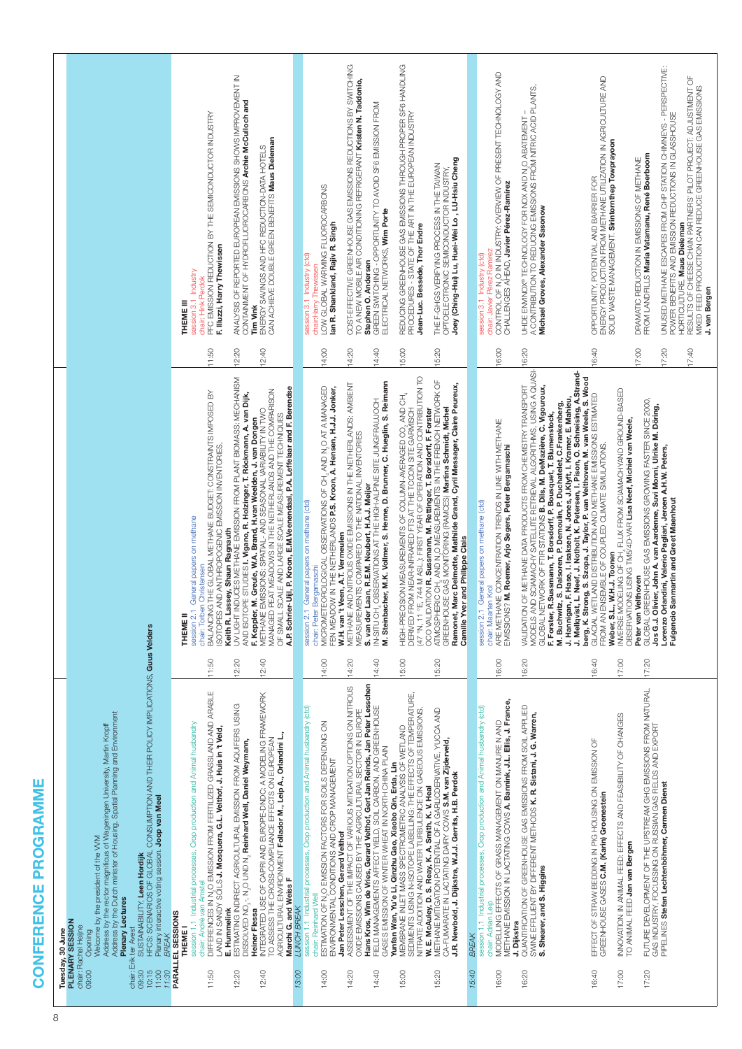| l                                |  |
|----------------------------------|--|
| l<br>j<br>I                      |  |
| ľ<br><b>Service Service</b><br>ľ |  |
|                                  |  |
| j                                |  |
|                                  |  |

| 09:30<br>$\begin{array}{c} 10:15 \\ 11:30 \\ 11:30 \end{array}$<br>09:00<br>chair: | HFCS: SCENARIOS OF GLOBAL CONSUMPTION AND THEIR POLICY IMPLICATIONS, Guus Velders<br>Address by the Dutch minister of Housing, Spatial Planning and Environment<br>Address by the rector magnificus of Wageningen University, Martin Kropff<br>Plenary interactive voting session. Joop van Meel<br>Welcome by the president of the VVM<br>SUSTAINABILITY, Leen Hordijk<br>Plenary Lectures<br>Tuesday, 30 June<br>PLENARY SESSION<br>chair: Rachel Heijne<br>Erik ter Avest<br>Opening<br><b>BREAK</b>                                                                                                                                                                                                                                                                                                                                                                                                                                                                                                                                                                                                                    |                                           |                                                                                                                                                                                                                                                                                                                                                                                                                                                                                                                                                                                                                                                                                                                                                                                                                                                                                                                                                                                                                                                                                                                                                                  |                                           |                                                                                                                                                                                                                                                                                                                                                                                                                                                                                                                                                                                                                                                                                                       |  |
|------------------------------------------------------------------------------------|----------------------------------------------------------------------------------------------------------------------------------------------------------------------------------------------------------------------------------------------------------------------------------------------------------------------------------------------------------------------------------------------------------------------------------------------------------------------------------------------------------------------------------------------------------------------------------------------------------------------------------------------------------------------------------------------------------------------------------------------------------------------------------------------------------------------------------------------------------------------------------------------------------------------------------------------------------------------------------------------------------------------------------------------------------------------------------------------------------------------------|-------------------------------------------|------------------------------------------------------------------------------------------------------------------------------------------------------------------------------------------------------------------------------------------------------------------------------------------------------------------------------------------------------------------------------------------------------------------------------------------------------------------------------------------------------------------------------------------------------------------------------------------------------------------------------------------------------------------------------------------------------------------------------------------------------------------------------------------------------------------------------------------------------------------------------------------------------------------------------------------------------------------------------------------------------------------------------------------------------------------------------------------------------------------------------------------------------------------|-------------------------------------------|-------------------------------------------------------------------------------------------------------------------------------------------------------------------------------------------------------------------------------------------------------------------------------------------------------------------------------------------------------------------------------------------------------------------------------------------------------------------------------------------------------------------------------------------------------------------------------------------------------------------------------------------------------------------------------------------------------|--|
| 11:50<br>12:20<br>12:40                                                            | DIFFERENCES IN N,O EMISSION FROM FERTILIZED GRASSLAND AND ARABLE<br>LAND IN SANDY SOILS <b>J. Mosquera, G.L. Veithof, J. Huis in 't Veid,</b><br>INTEGRATED USE OF CAPPI AND EUROPE-DNDC: A MODELING FRAMEWORK<br>TO ASSESS THE CROSS-COMPLIANCE EFFECTS ON EUROPEAN<br>ESTIMATING INDIRECT AGRICULTURAL EMISSION FROM AQUIFERS USING<br>session 1.1 Industrial processes, Crop production and Animal husbandry<br>AGRICULTURAL ENVIRONMENT Follador <b>M., Leip A., Orlandini L.,</b><br>DISSOLVED NO <sub>3</sub> -, N <sub>2</sub> O UND N <sub>2</sub> Reinhard Well, Daniel Weymann,<br>Marchi G. and Weiss F<br>chair: André van Amstel<br>E. Hummelink<br>Heiner Flessa<br>PARALLEL SESSIONS<br>THEME I                                                                                                                                                                                                                                                                                                                                                                                                             | 11:50<br>12:40<br> 2:20                   | JY LUGHT INDODOBS METHANE EMISSION SERVIS MASS : METHANICHS S<br>A.P. Schrier-Uijl, P. Kroon, E.M. Veenendaal, P.A. Leffelaar and F. Berendse<br>MANAGED PEAT MEADOWS IN THE NETHERLANDS AND THE COMPARISON<br>THE GLOBAL METHANE BUDGET: CONSTRAINTS IMPOSED BY<br>AND ISOTOPE STUDIES I. Vigano, R. Holzinger, T. Röckmann, A. van Dijk,<br>F. Keppler, M. Greule, W.A. Brand, H.van Weelden, J. van Dongen<br>METHANE EMISSIONS: SPATIAL- AND SEASONAL VARIABILITY IN TWO<br>OF SMALL SCALE AND LARGE SCALE MEASUREMENT TECHNIQUES<br>ISOTOPES AND ANTHROPOGENIC EMISSION INVENTORIES<br>General papers on methane<br>Keith R. Lassey, Shaun Ragnauth<br>Christensen<br>chair: Torben<br>BALANCING<br>session 2.1<br><b>THEME!</b>                                                                                                                                                                                                                                                                                                                                                                                                                            | 11:50<br>12:40<br>12:20                   | ANALYSIS OF REPORTED EUROPEAN SHONS SHOWS IMPROVENT IN<br>CONTAINMENT OF HYDROFLUOROCARBONS Archie McCulloch and<br>PFC EMISSION REDUCTION BY THE SEMICONDUCTOR INDUSTRY<br>ENERGY SAVINGS AND HFC REDUCTION-DATA HOTELS<br>CAN ACHIEVE DOUBLE GREEN BENEFITS <b>Maus Dieleman</b><br>F. Illuzzi, Harry Thewissen<br>session 3.1 Industry<br>chair: Hink Perdok<br>THEME III<br><b>Tim Vink</b>                                                                                                                                                                                                                                                                                                       |  |
| 15:40<br>13:00<br>14:00<br>14:20<br>14:40<br>15:00<br>15:20                        | Hans Kros, Wim de Vries, Gerard Velthof, Gert Jan Reinds, Jan Peter Lesschen<br>ASSESSMENT OF THE IMPACT OF VARIOUS MITIGATION OPTIONS ON NITROUS<br>OXIDE EMISSIONS CAUSED BY THE AGRICULTURAL SECTOR IN EUROPE<br>MEMBAANE INLET MASS SPECTROMETRIC ANALYSIS OF WETLAND<br>SEDIMENTS USING N-ISOTOPE LABELLING: THE EFFECTS OF TEMPERATURE,<br>session 1.1 Industrial processes, Crop production and Animal husbandry (ctd)<br>FIELD MANAGEMENTS AFFECT YIELD, SOIL CARBON, AND GREENHOUSE<br>METHANE MITIGATION POTENTIAL OF A GARICDERIVATIVE, YUCCA AND<br>NITRATE ADDITION AND WATER TURBULENCE ON GASEOUS EMISSIONS<br>ESTIMATION OF N,O EMISSION FACTORS FOR SOILS DEPENDING ON<br>CA-FUMARATE IN LACTATING DAIRY COWS S.M. van Zijderveld,<br>GASES EMISSION OF WINTER WHEAT IN NORTH CHINA PLAIN<br>ENVIRONMENTAL CONDITIONS AND CROP MANAGEMENT<br>Yunfan Wan, Yu'e Li, Qinzhu Gao, Xiaobo Qin, Erda, Lin<br>J.R. Newbold, J. Dijkstra, W.J.J. Gerrits, H.B. Perdok<br>W. E. McAuley, D. S. Reay, K. A. Smith, K. V. Heal<br>Jan Peter Lesschen, Gerard Velthof<br>chair: Reinhard Well<br>LUNCH BREAK<br>BREAK | 14:00<br>14:20<br>14:40<br>15:00<br>15:20 | (47 °N, 11 °E, 744 M ASL.): FIRST YEAR OF OPERATION AND CONTRIBUTION TO<br>ATMOSPHERIC CH, AND N,O MEASUREMENTS IN THE FRENCH NETWORK OF<br>GREENHOUSE GAS MONITORING (RAMCES) <b>Martina Schmidt, Michel</b><br>M. Steinbacher, M.K. Vollmer, S. Henne, D. Brunner, C. Hueglin, S. Reimann<br>METHANE AND NITROUS OXIDE EMISSIONS IN THE NETHERLANDS: AMBIENT<br>Ramonet, Marc Delmotte, Mathilde Grand, Cyril Messager, Claire Peureux,<br>MICROMETEOROLOGICAL OBSERVATIONS OF CH <sub>4</sub> AND N <sub>2</sub> O AT A MANAGED<br>FEN MEADOW IN THE NETHERLANDS P.S. Kroon, A. Hensen, H.J.J. Jonker,<br>AND CH <sub>3</sub><br>OBSERVATIONS AT THE HIGH-ALPINE SITE JUNGFRAUJOCH<br>DERIVED FROM NEAR-INFRARED FTS AT THE TOCON SITE GARMISCH<br>OCO VALIDATION R. Sussmann, M. Rettinger, T. Borsdorff, F. Forster<br>HIGH-PRECISION MEASUREMENTS OF COLUMN-AVERAGED CO,<br>MEASUREMENTS COMPARED TO THE NATIONAL INVENTORIES<br>S. van der Laan, R.E.M. Neubert, H.A.J. Meijer<br>General papers on methane (ctd)<br>W.H. van 't Veen, A.T. Vermeulen<br><b>Camille Yver and Philippe Ciais</b><br>chair: Peter Bergamaschi<br>IN-SITU CH,<br>session 2.1 | 14:00<br>14:40<br>15:00<br>15:20<br>14:20 | COST-EFFECTIVE GREENHOUSE GAS EMISSIONS REDUCTIONS BY SWITCHING<br>REDUCING GREENHOUSE GAS EMISSIONS THROUGH PROPER SP6 HANDLING<br>PROCEDURES - STATE OF THE ART IN THE EUROPEAN INDUSTRY<br>TO A NEW MOBILE AIR CONDITIONING REFRIGERANT Kristen N. Taddonio,<br>GRÉEN SWITCHING - OPPORTUNITY TO AVOID SF6 EMISSION FROM<br>ELECTRICAL NETWORKS, <b>Wim Porte</b><br>Joey (Ching-Hui) Lu, Huei-Wei Lo, LU-Hsiu Cheng<br>THE F-GHGS VERIFYING PROCESS IN THE TAWAN<br>OPTOELECTRONIC SEMICONDUCTOR INDUSTRY,<br>LOW GLOBAL WARMING FLUOROCARBONS<br>lan R. Shankland, Rajiv R. Singh<br>Jean-Luc. Bessède, Thor Endre<br>session 3.1 Industry (ctd)<br>Stephen O. Andersen<br>chair:Harry Thewissen |  |
| 16:00<br>16:20                                                                     | MODELLING EFFECTS OF GRASS MANAGEMENT ON MANURE N AND<br>METHANE EMISSION IN LACTATING COWS <b>A. Bannink, J.L. Ellis, J. France,</b><br>QUANTIFICATION OF GREENHOUSE GAS EMISSIONS FROM SOIL APPLIED<br>session 1.1 Industrial processes, Crop production and Animal husbandry (ctd)<br>SWINE EFFLUENT BY DIFFERENT METHODS K. R. Sistani, J. G. Warren,<br>Shearer, and S. Higgins<br>chair: Adrian Leip<br>J. Dijkstra<br>ဟဲ                                                                                                                                                                                                                                                                                                                                                                                                                                                                                                                                                                                                                                                                                            | 16:00<br>16:20                            | MODELS AND SCIAMACHY SATELLITE RETRIEVAL ALGORITHMS, USING A QUASI-<br>GLOBAL NETWORK OF FTIR STATIONS <b>B. Diis, M. DeMazière, C. Vigouroux,</b><br>OF METHANE DATA PRODUCTS FROM CHEMISTRY TRANSPORT<br>M. Buchwitz, S. Dalsoren, P. Demoulin, P. Duchatelet, C.Frankenberg,<br>J. Hamigan, F. Hase, I. Isaksen, N. Jones, J.Klyft, I. Kramer, E. Mahieu,<br>Sussmann, T. Borsdorff, P. Bousquet, T. Blumenstock,<br>ARE METHANE CONCENTRATION TRENDS IN LINE WITH METHANE<br>M. Roemer, Arjo Segers, Peter Bergamaschi<br>General papers on methane (ctd)<br>chair: Maarten Krol<br>EMISSIONS?<br>VALIDATION<br>F. Forster, R<br>session 2.1                                                                                                                                                                                                                                                                                                                                                                                                                                                                                                                 | 16:00<br>16:20                            | CONTROL OF N,O IN INDUSTRY: OVERVIEW OF PRESENT TECHNOLOGY AND<br>A CONTRIBUTION TO REDUCING EMISSIONS FROM NITRIC ACID PLANTS,<br>UHDE ENVINOX® TECHNOLOGY FOR NOX AND N.O ABATEMENT<br>CHALLENGES AFIEAD, Javier Pérez-Ramírez<br>Michael Groves, Alexander Sasonow<br>chair: Javier Pérez Ramirez<br>Industry (ctd)<br>session 3.1                                                                                                                                                                                                                                                                                                                                                                 |  |
| 16:40<br>17:00<br>17:20                                                            | FUTURE DEVELOPMENT OF THE UPSTREAM GHG EMISSIONS FROM NATURAL<br>INNOVATION IN ANMAL FEED: EFFECTS AND FEASIBILITY OF CHANGES<br>GAS INDUSTRY, FOCUSSING ON RUSSIAN GAS FIELDS AND EXPORT<br>EFFECT OF STRAW BEDDING IN PIG HOUSING ON EMISSION OF<br>PIPELINES Stefan Lechtenböhmer, Carmen Dienst<br>GREENHOUSE GASES C.M. (Karin) Groenestein<br>TO ANIMAL FEED Jan van Bergen                                                                                                                                                                                                                                                                                                                                                                                                                                                                                                                                                                                                                                                                                                                                          | 16:40<br>17:00<br>17:20                   | J. Mellqvist, L. Neef, J. Notholt, K. Petersen, I. Pison, O. Schneising, A.Strand-<br>berg, K. Strong, S. Szopa, J. Taylor, P. van Velthoven, M. van Weele, S. Wood<br>INVERSE MODELING OF CH, FLUX FROM SCIAMACHYAND GROUND-BASED<br>GLACIAL WETLAND DISTRIBUTION AND METHANE EMISSIONS ESTIMATED<br>GLOBAL GREENHOUSE GAS EMISSIONS GROWING FASTER SINCE 2000,<br>Jos G.J. Olivier, John A. van Aardenne, Suvi Monni, Ulrike M. Döring,<br>Lorenzo Orlandini, Valerio Pagliari, Jeroen A.H.W. Peters,<br>NS USING TM5/4D-VAR Lisa Neef, Michiel van Weele,<br>FROM AN ENSEMBLE OF COUPLED CLIMATE SIMULATIONS<br>Fulgencio Sanmartin and Greet Maenhout<br>W.H.J. Toonen<br>Peter van Velthoven<br><b>OBSERVATI</b><br>Weber, S.L                                                                                                                                                                                                                                                                                                                                                                                                                              | 16:40<br>17:00<br>17:40<br>17:20          | UNUSED METHANE ESCAPES FROM CHP STATION CHIMNEYS - PERSPECTIVE:<br>ENERGY PRODUCTION FROM METHANE UTILIZATION IN AGRICULTURE AND<br>SOUD WASTE MANAGEMENT. <b>Sirintornthep Towprayoon</b><br>RESULTS OF CHEESE CHAIN PARTNERS' PILOT PROJECT: ADJUSTMENT OF<br>MIXED FEED PRODUCTION CAN REDUCE GREENHOUSE GAS EMISSIONS<br>POWER BENEFITS AND EMISSION REDUCTIONS IN GLASSHOUSE<br>FROM LANDFILLS Maria Vatamanu, René Boerboom<br>DRAMATIC REDUCTION IN EMISSIONS OF METHANE<br>OPPORTUNITY, POTENTIAL AND BARRIER FOR<br>HORTICULTURE, Maus Dieleman<br>J. van Bergen                                                                                                                             |  |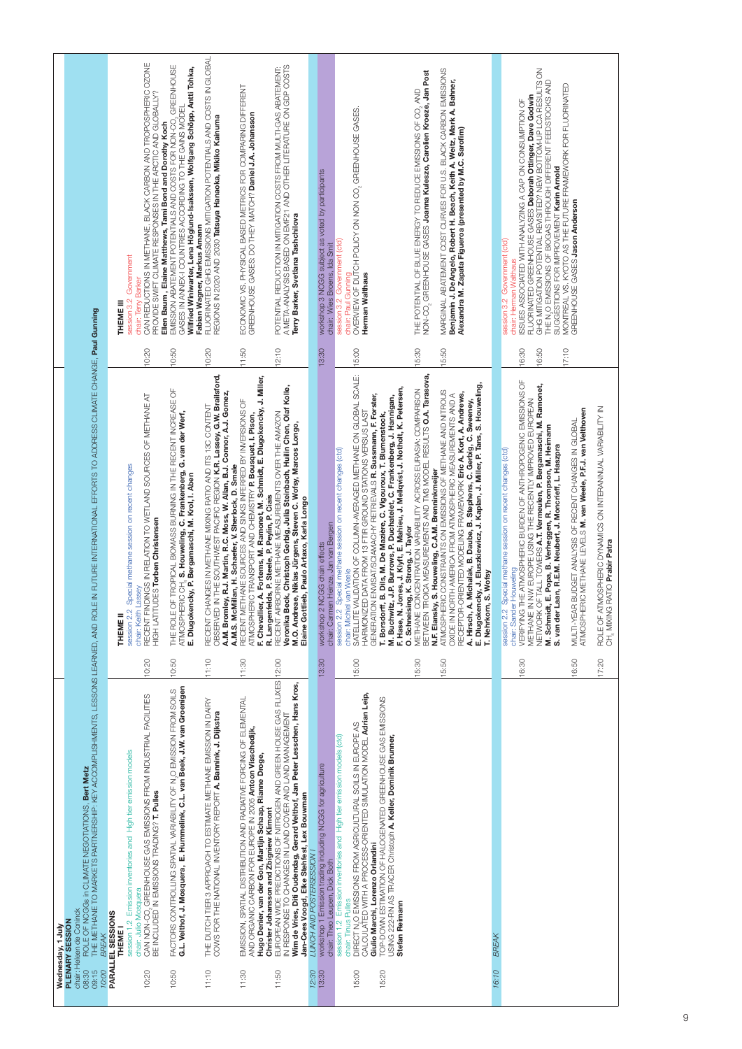|                                                                                                                                                                                                                                                                                                   | CAN REDUCTIONS IN METHANE, BLACK CARBON AND TROPOSPHERIC OZONE<br>PROVIDE SWIFT CLIMATE RESPONSES IN THE ARCTIC AND GLOBALLY?<br>Government<br>chair: Terry Barker<br>session 3.2<br>THEME III                                                         | Ellen Baum , Elaine Matthews, Tami Bond and Dorothy Koch<br>EMISSION ABATEMENT POTENTIALS AND COSTS FOR NON-CO <sub>2</sub> GREENHOUSE<br>Wilfried Winiwarter, Lena Höglund-Isakssen, Wolfgang Schöpp, Antti Tohka,<br>GASES IN ANNEX-I COUNTRIES ACCORDING TO THE GAINS MODEL | FLUORINATED GHG EMISSIONS MITIGATION POTENTIALS AND COSTS IN GLOBAL<br>REGIONS IN 2020 AND 2030 Tatsuya Hanaoka, Mikiko Kainuma<br>Fabian Wagner, Markus Amann                                                          | ECONOMIC VS. PHYSICAL BASED METRICS FOR COMPARING DIFFERENT<br>GREENHOUSE GASES: DO THEY MATCH? <b>Daniel J.A. Johansson</b>                                                                                                                                     | POTENTIAL REDUCTION IN MITIGATION COSTS FROM MULTI-GAS ABATEMENT:<br>A META-ANALYSIS BASED ON EMF21 AND OTHER LITERATURE ON GDP COSTS<br>Terry Barker, Svetlana Tashchilova                                                                                                                                 | workshop 3 NCGG subject as voted by participants<br>chair: Wies Broens, Ida Smit                                       | OVERVIEW OF DUTCH POLICY ON NON CO <sub>2</sub> GREENHOUSE GASES.<br>Government (ctd)<br>chair: Paul Gunning<br>Herman Walthaus<br>session 3.2                                                                                      |                                                                                                                                                                                                                                                                                                              | MARGINAL ABATEMENT COST CURVES FOR U.S. BLACK CARBON EMISSIONS<br>NON-CO <sub>2</sub> GREENHOUSE GASES <b>Joanna Kuleszo, Carolien Kroeze, Jan Post</b><br>Benjamin J. DeAngelo, Robert H. Beach, Keith A. Weitz, Mark A. Bahner,<br>THE POTENTIAL OF BLUE ENERGY TO REDUCE EMISSIONS OF CO, AND                                                                              | Alexandra M. Zapata Figueroa (presented by M.C. Sarofim)                                                                                                                                                                                              | session 3.2 Government (ctd)                                   | GHG MITIGATION POTENTIAL REVISITED? NEW BOTTOM-UP LCA RESULTS ON<br>THE N,O EMISSIONS OF BIOGAS THROUGH DIFFERENT FEEDSTOCKS AND<br>FLUORINATED GREENHOUSE GASES Deborah Ottinger, Dave Godwin<br>ISSUES ASSOCIATED WITH ANALYZING A CAP ON CONSUMPTION OF<br>SUGGESTIONS FOR IMPROVEMENT Karin Arnold<br>chair: Herman Walthaus                               | MONTREAL VS. KYOTO AS THE FUTURE FRAMEWORK FOR FLUORINATED<br>GREENHOUSE GASES <b>Jason Anderson</b>                    |                                                                                                 |
|---------------------------------------------------------------------------------------------------------------------------------------------------------------------------------------------------------------------------------------------------------------------------------------------------|--------------------------------------------------------------------------------------------------------------------------------------------------------------------------------------------------------------------------------------------------------|--------------------------------------------------------------------------------------------------------------------------------------------------------------------------------------------------------------------------------------------------------------------------------|-------------------------------------------------------------------------------------------------------------------------------------------------------------------------------------------------------------------------|------------------------------------------------------------------------------------------------------------------------------------------------------------------------------------------------------------------------------------------------------------------|-------------------------------------------------------------------------------------------------------------------------------------------------------------------------------------------------------------------------------------------------------------------------------------------------------------|------------------------------------------------------------------------------------------------------------------------|-------------------------------------------------------------------------------------------------------------------------------------------------------------------------------------------------------------------------------------|--------------------------------------------------------------------------------------------------------------------------------------------------------------------------------------------------------------------------------------------------------------------------------------------------------------|-------------------------------------------------------------------------------------------------------------------------------------------------------------------------------------------------------------------------------------------------------------------------------------------------------------------------------------------------------------------------------|-------------------------------------------------------------------------------------------------------------------------------------------------------------------------------------------------------------------------------------------------------|----------------------------------------------------------------|----------------------------------------------------------------------------------------------------------------------------------------------------------------------------------------------------------------------------------------------------------------------------------------------------------------------------------------------------------------|-------------------------------------------------------------------------------------------------------------------------|-------------------------------------------------------------------------------------------------|
|                                                                                                                                                                                                                                                                                                   | 10:20                                                                                                                                                                                                                                                  | 10:50                                                                                                                                                                                                                                                                          | 10:20                                                                                                                                                                                                                   | 11:50                                                                                                                                                                                                                                                            | 12:10                                                                                                                                                                                                                                                                                                       | 13:30                                                                                                                  | 15:00                                                                                                                                                                                                                               |                                                                                                                                                                                                                                                                                                              | 15:30<br>15:50                                                                                                                                                                                                                                                                                                                                                                |                                                                                                                                                                                                                                                       |                                                                | 17:10<br>16:30<br>16:50                                                                                                                                                                                                                                                                                                                                        |                                                                                                                         |                                                                                                 |
|                                                                                                                                                                                                                                                                                                   | RECENT FINDINGS IN RELATION TO WETLAND SOURCES OF METHANE AT<br>Special methane session on recent changes<br>HIGH LATITUDES Torben Christensen<br>chair: Keith Lassey<br>session 2.2<br>THEME II                                                       | THE ROLE OF TROPICAL BIOMASS BURNING IN THE RECENT INCREASE OF<br>ATMOSPHERIC CH. S. Houweling, C. Frankenberg, G. van der Werf,<br>E. Dlugokencky, P. Bergamaschi, M. Krol, I. Aben                                                                                           | OBSERVED IN THE SOUTHWEST PACIFIC REGION <b>K.R. Lassey, G.W. Brailsford,</b><br>A.M. Bromley, R.J. Martin, R.C. Moss, W. Allan, B.J. Connor, A.J. Gomez,<br>RECENT CHANGES IN METHANE MIXING RATIO AND ITS 13C CONTENT | F. Chevallier, A. Fortems, M. Ramonet, M. Schmidt, E. Dlugokencky, J. Miller,<br>RECENT METHANE SOURCES AND SINKS INFERRED BY INVERSIONS OF<br>ATMOSPHERIC TRANSPORT AND CHEMISTRY P. Bousquet, I. Pison,<br>A.M.S. McMillan, H. Schaefer, V. Sherlock, D. Smale | Veronika Beck, Christoph Gerbig, Julia Steinbach, Huilin Chen, Olaf Kolle,<br>RECENT AIRBORNE METHANE MEASUREMENTS OVER THE AMAZON<br>M.O. Andreae, Niklas Jürgens, Steven C. Wofsy, Marcos Longo,<br>R. Langenfelds, P. Steele, P. Peylin, P. Ciais<br>Elaine Gottlieb, Paulo Artaxo, Karla Longo          | chair: Carmen Heinze, Jan van Bergen<br>workshop 2 NCGG chain effects                                                  | SATELLITE VALIDATION OF COLUMN-AVERAGED METHANE ON GLOBAL SCALE:<br>HARMONIZED DATA FROM 13 FTIR GROUND STATIONS VERSUS LAST<br>Special methane session on recent changes (ctd)<br>I van Weele<br>chair: Michie<br>session 2.2      | Jones, J. Klyft, E. Mahieu, J. Mellqvist, J. Notholt, K. Petersen,<br>GENERATION ENVISAT/SOAMACHY RETRIEVALS <b>R. Sussmann, F. Forster,</b><br>T. Borsdorff, B. Dils, M. De Mazière, C. Vigouroux, T. Blumenstock,<br>M. Buchwitz, J.P. Burrows, P. Duchatelet, C. Frankenberg, J. Hannigan,<br>F. Hase, N. | ROICA MEASUREMENTS AND TM3 MODEL RESULTS O.A. Tarasova,<br>METHANE CONCENTRATION VARIABILITY ACROSS EURASIA: COMPARISON<br>ATMOSPHERIC CONSTRAINTS ON EMISSIONS OF METHANE AND NITROUS<br>DRTH AMERICA FROM ATMOSPHERIC MEASUREMENTS AND A<br>N.F. Elansky, S. Houweling, C.A.M. Brenninkmeijer<br>O. Schneising, K. Strong, J. Taylor<br>OXIDE IN NO<br>BETWEEN <sup>-</sup> | A. Hirsch, A. Michalak, B. Daube, B. Stephens, C. Gerbig, C. Sweeney,<br>E. Dlugokencky, J. Eluszkiewicz, J. Kaplan, J. Miller, P. Tans, S. Houweling,<br>RECEPTOR-ORIENTED MODELING FRAMEWORK Eric A. Kort, A. Andrews,<br>, S. Wofsy<br>T. Nehrkorn | Special methane session on recent changes (ctd)<br>session 2.2 | VERIFYING THE ATMOSPHERIC BURDEN OF ANTHROPOGENIC EMISSIONS OF<br>METHANE IN NW EUROPE USING THE RECENTLY IMPROVED EUROPEAN<br>NETWORK OF TALL TOWERS <b>A.T. Vermeulen, P. Bergamaschi, M. Ramonet,</b><br>M. Schmidt, E. Popa, B. Verheggen, R. Thompson, M. Heimann<br>S. van der Laan, R.E.M. Neubert, J. Moncrieff, L. Haszpra<br>chair: Sander Houweling | ATMOSPHERIC METHANE LEVELS M. van Weele, P.F.J. van Veithoven<br>MULTI-YEAR BUDGET ANALYSIS OF RECENT CHANGES IN GLOBAL | MOSPHERIC DYNAMICS ON INTERANNUAL VARIABILITY IN<br>CH, MIXING RATIO Prabir Patra<br>ROLE OF AT |
|                                                                                                                                                                                                                                                                                                   | 10:20                                                                                                                                                                                                                                                  | 10:50                                                                                                                                                                                                                                                                          | 11:10                                                                                                                                                                                                                   | 11:30                                                                                                                                                                                                                                                            |                                                                                                                                                                                                                                                                                                             | 13:30                                                                                                                  | 15:00                                                                                                                                                                                                                               |                                                                                                                                                                                                                                                                                                              | 5:30<br>15:50                                                                                                                                                                                                                                                                                                                                                                 |                                                                                                                                                                                                                                                       |                                                                | 16:30                                                                                                                                                                                                                                                                                                                                                          | 0.50                                                                                                                    | 17:20                                                                                           |
| d'air: Heleen de Coninck<br>08:30       ROLE OF NOGGs in CLIMATE NEGOTIATIONS, <b>Bert Metz</b><br>09:15       THE METHANE TO MARKETS PARTNERSHIP: KEY ACCOMPLISHMENTS, LESSONS LEARNED, AND ROLE IN FUTURE INTERNATIONAL EFFORTS TO ADDR<br>Wednesday, 1 July<br>PLENARY SESSION<br><b>BREAK</b> | CAN NON-CO, GREENHOUSE GAS EMISSIONS FROM INDUSTRIAL FACILITIES<br>BE INCLUDED IN EMISSIONS TRADING? <b>T. Pulles</b><br>session 1.2 Emission inventories and High tier emission models<br>chair: Julio Mosquera<br>PARALLEL SESSIONS<br><b>THEME!</b> | FACTORS CONTROLLING SPATIAL VARIABILITY OF N,O EMISSION FROM SOILS<br><b>G.L. Veithof, J. Mosquera, E. Hummelink, C.L. van Beek, J.W. van Groenigen</b>                                                                                                                        | THE DUTCH TIER 3 APPROACH TO ESTIMATE METHANE EMISSION IN DAIRY<br>COWS FOR THE NATIONAL INVENTORY REPORT A. Bannink, J. Dijkstra                                                                                       | EMISSION, SPATIAL DISTRIBUTION AND RADIATIVE FORCING OF ELEMENTAL<br>AND ORGANIC CARBON FOR EUROPE IN 2005 Antoon Visschedijk,<br>Hugo Denier, van der Gon, Martijn Schaap, Rianne Droge,                                                                        | EUROPEAN WIDE PREDICTIONS OF NITROGEN AND GREEN HOUSE GAS FLUXES  12:00<br>Wim de Vries, Diti Oudendag, Gerard Velthof, Jan Peter Lesschen, Hans Kros,<br>Jan-Cees Voogd, Elke Stehfest, Lex Bouwman<br>IN RESPONSE TO CHANGES IN LAND COVER AND LAND MANAGEMENT<br>Christer Johansson and Zbigniew Klimont | workshop 1 Emission trading including NCGG for agriculture<br>LUNCH AND POSTERSESSION<br>chair: Theo Leupen, Dick Both | CALCULATED WITH A PROCESS-ORIENTED SIMULATION MODEL <b>Adrian Leip,</b><br>DIRECT N.O EMISSIONS FROM AGRICULTURAL SOILS IN EUROPE AS<br>session 1.2 Emission inventories and High tier emission models (ctd)<br>chair: Tinus Pulles | TOP-DOWN ESTIMATION OF HALOGENATED GREENHOUSE GAS EMISSIONS<br>USING 222-RN AS TRACER Christoph A. Keller, Dominik Brunner,<br>Giulio Marchi, Lorenzo Orlandini<br>Stefan Reimann                                                                                                                            |                                                                                                                                                                                                                                                                                                                                                                               |                                                                                                                                                                                                                                                       | <b>BREAM</b>                                                   |                                                                                                                                                                                                                                                                                                                                                                |                                                                                                                         |                                                                                                 |
| 10:00                                                                                                                                                                                                                                                                                             | 10:20                                                                                                                                                                                                                                                  | 10:50                                                                                                                                                                                                                                                                          | 11:10                                                                                                                                                                                                                   | 11:30                                                                                                                                                                                                                                                            | 11:50                                                                                                                                                                                                                                                                                                       | 12:30<br>13:30                                                                                                         | 15:00                                                                                                                                                                                                                               | 15:20                                                                                                                                                                                                                                                                                                        |                                                                                                                                                                                                                                                                                                                                                                               |                                                                                                                                                                                                                                                       | 16:10                                                          |                                                                                                                                                                                                                                                                                                                                                                |                                                                                                                         |                                                                                                 |
|                                                                                                                                                                                                                                                                                                   |                                                                                                                                                                                                                                                        |                                                                                                                                                                                                                                                                                |                                                                                                                                                                                                                         |                                                                                                                                                                                                                                                                  |                                                                                                                                                                                                                                                                                                             |                                                                                                                        |                                                                                                                                                                                                                                     |                                                                                                                                                                                                                                                                                                              |                                                                                                                                                                                                                                                                                                                                                                               |                                                                                                                                                                                                                                                       |                                                                |                                                                                                                                                                                                                                                                                                                                                                |                                                                                                                         |                                                                                                 |

Í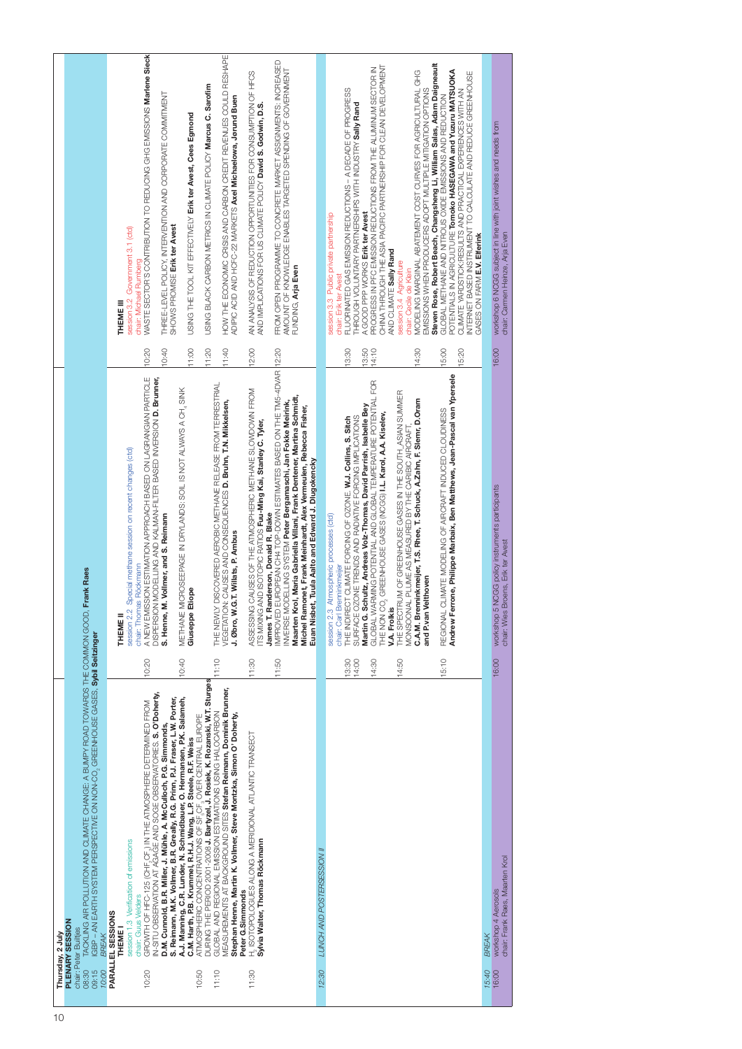| 10 |       | Thursday, 2 July                                                                                                                                                          |       |                                                                                                                                          |       |                                                                                                                                                                                                     |
|----|-------|---------------------------------------------------------------------------------------------------------------------------------------------------------------------------|-------|------------------------------------------------------------------------------------------------------------------------------------------|-------|-----------------------------------------------------------------------------------------------------------------------------------------------------------------------------------------------------|
|    |       | PLENARY SESSION                                                                                                                                                           |       |                                                                                                                                          |       |                                                                                                                                                                                                     |
|    | 08:30 | TACKLING AIR POLLUTION AND CHAMGE: A BUMPY ROAD TOWARDS THE COMMON GOOD. Frank Raes<br>chair: Peter Builtjes                                                              |       |                                                                                                                                          |       |                                                                                                                                                                                                     |
|    | 09:15 | IGBP - AN EARTH SYSTEM PERSPECTIVE ON NON-CO, GREENHOUSE GASES, Sybil Seitzinger                                                                                          |       |                                                                                                                                          |       |                                                                                                                                                                                                     |
|    | 10:00 | <b>BREAK</b>                                                                                                                                                              |       |                                                                                                                                          |       |                                                                                                                                                                                                     |
|    |       | PARALLEL SESSIONS                                                                                                                                                         |       |                                                                                                                                          |       |                                                                                                                                                                                                     |
|    |       | THEME I                                                                                                                                                                   |       | THEME <sub>II</sub>                                                                                                                      |       | THEME III                                                                                                                                                                                           |
|    |       | session 1.3 Verification of emissions<br>chair: Guus Velders                                                                                                              |       | session 2.2 Special methane session on recent changes (ctd)                                                                              |       | session 3.2 Government 3.1 (ctd)<br>chair: Michael Rumberg                                                                                                                                          |
|    | 10:20 | GROWTH OF HFC-125 (CHF, CF.) IN THE ATMOSPHERE DETERMINED FROM                                                                                                            | 10:20 | A NEW EMISSION ESTIMATION APPROACH BASED ON LAGRANGIAN PARTICLE<br>Röckmann<br>chair: Thomas                                             | 10:20 | WASTE SECTOR'S CONTRIBUTION TO REDUCING GHG EMISSIONS Marlene Sieck                                                                                                                                 |
|    |       | IN-SITU OBSERVATION AT AGAGE AND SOGE OBSERVATORIES. S. O'Doherty,                                                                                                        |       | MODELLING AND KALMAN-FILTER BASED INVERSION <b>D. Brunner,</b><br><b>DISPERSION</b>                                                      |       |                                                                                                                                                                                                     |
|    |       | D.M. Cunnold, B.R. Miller, J. Mühle, A. McCulloch, P.G. Simmonds,                                                                                                         |       | Vollmer, and S. Reimann<br>S. Henne, M.                                                                                                  | 10:40 | THREE-LEVEL POLICY, INTERVENTION AND CORPORATE COMMITMENT                                                                                                                                           |
|    |       | S. Reimann, M.K. Vollmer, B.R. Greally, R.G. Prinn, P.J. Fraser, L.W. Porter,                                                                                             |       |                                                                                                                                          |       | SHOWS PROMISE Erik ter Avest                                                                                                                                                                        |
|    |       | A.J. Manning, C.R. Lunder, N. Schmidbauer, O. Hermansen, P.K. Salameh,<br>C.M. Harth, P.B. Krummel, R.H.J. Wang, L.P. Steele, R.F. Weiss                                  | 10:40 | METHANE MICROSEEPAGE IN DRYLANDS: SOIL IS NOT ALWAYS A CH. SINK<br>iope<br>Giuseppe Eti                                                  | 11:00 | USING THE TOOL KIT EFFECTIVELY Erik ter Avest, Cees Egmond                                                                                                                                          |
|    | 10:50 | ATMOSPHERIC CONCENTRATIONS OF SF <sub>-</sub> CF <sub>3</sub> OVER CENTRAL EUROPE<br>DURING THE PERIOD 2001-2008 <b>J. Bartyzei, J. Rosiek, K. Rozanski, W.T. Sturges</b> |       |                                                                                                                                          |       |                                                                                                                                                                                                     |
|    |       |                                                                                                                                                                           |       |                                                                                                                                          | 11:20 | USING BLACK CARBON METRICS IN CLIMATE POLICY Marcus C. Sarofim                                                                                                                                      |
|    | 11:10 | MEASUREMENTS AT BACKGROUND SITES Stefan Reimann, Dominik Brunner,<br>GLOBAL AND REGIONAL EMISSION ESTIMATIONS USING HALOCARBON                                            | 11:10 | THE NEWLY DISCOVERED AEROBIC METHANE RELEASE FROM TERRESTRIAL<br>CAUSES AND CONSEQUENCES D. Bruhn, T.N. Mikkelsen,<br><b>VEGETATION:</b> | 11:40 | HOW THE ECONOMIC CRISIS AND CARBON CREDIT REVENUES COULD RESHAPE                                                                                                                                    |
|    |       | Stephan Henne, Martin K. Vollmer, Steve Montzka, Simon O' Doherty,                                                                                                        |       | T. Willats, P. Ambus<br>J. Øbro, W.G.                                                                                                    |       | ADIPIC ACID AND HOFC-22 MARKETS Axel Michaelowa, Jørund Buen                                                                                                                                        |
|    |       | Peter G.Simmonds                                                                                                                                                          |       |                                                                                                                                          |       |                                                                                                                                                                                                     |
|    | 11:30 | H. ISOTOPOLOGUES ALONG A MERIDIONAL ATLANTIC TRANSECT                                                                                                                     | 11:30 | AUSES OF THE ATMOSPHERIC METHANE SLOWDOWN FROM<br>ASSESSING                                                                              | 12:00 | AN ANALYSIS OF REDUCTION OPPORTUNITIES FOR CONSUMPTION OF HFCS                                                                                                                                      |
|    |       | Sylvia Walter, Thomas Röckmann                                                                                                                                            |       | ITS MIXING AND ISOTOPIC RATIOS Fuu-Ming Kai, Stanley C. Tyler,                                                                           |       | AND IMPLICATIONS FOR US CLIMATE POLICY David S. Godwin, D.S.                                                                                                                                        |
|    |       |                                                                                                                                                                           | 11:50 | JROPEAN CH4 TOP-DOWN ESTIMATES BASED ON THE TM5-4DVAR  12:20<br>James T. Randerson, Donald R. Blake<br>IMPROVED EL                       |       |                                                                                                                                                                                                     |
|    |       |                                                                                                                                                                           |       | <b>DELLING SYSTEM Peter Bergamaschi, Jan Fokke Meirink,</b><br>INVERSE MOI                                                               |       | FROM OPEN PROGRAMME TO CONCRETE MARKET ASSIGNMENTS: INCREASED<br>AMOUNT OF KNOWLEDGE ENABLES TARGETED SPENDING OF GOVERNMENT                                                                        |
|    |       |                                                                                                                                                                           |       | Maarten Krol, Maria Gabriella Villani, Frank Dentener, Martina Schmidt,                                                                  |       | FUNDING, Arja Even                                                                                                                                                                                  |
|    |       |                                                                                                                                                                           |       | net, Frank Meinhardt, Alex Vermeulen, Rebecca Fisher,<br>Tuula Aalto and Edward J. Dlugokencky<br>Michel Ramo<br>Euan Nisbet,            |       |                                                                                                                                                                                                     |
|    | 12:30 | LUNCH AND POSTERSESSION II                                                                                                                                                |       |                                                                                                                                          |       |                                                                                                                                                                                                     |
|    |       |                                                                                                                                                                           |       | session 2.3 Atmospheric processes (ctd)                                                                                                  |       | session 3.3 Public private partnership                                                                                                                                                              |
|    |       |                                                                                                                                                                           |       | chair: Carl Brenninkmeijer                                                                                                               |       | chair: Erik ter Avest                                                                                                                                                                               |
|    |       |                                                                                                                                                                           | 13:30 | THE INDIRECT CLIMATE FORCING OF OZONE. W.J. Collins, S. Sitch                                                                            | 13:30 | FLUORINATED GAS EMISSION REDUCTIONS - A DECADE OF PROGRESS                                                                                                                                          |
|    |       |                                                                                                                                                                           | 14:00 | Martin G. Schultz, Andreas Volz-Thomas, David Parrish, Isabelle Bey<br>SURFACE OZONE TRENDS AND RADIATIVE FORCING IMPLICATIONS           | 13:50 | THROUGH VOLUNTARY PARTNERSHIPS WITH INDUSTRY Sally Rand<br>A GOOD PPP WORKS Erik ter Avest                                                                                                          |
|    |       |                                                                                                                                                                           | 14:30 | GLOBAL WARMING POTENTIAL AND GLOBAL TEMPERATURE POTENTIAL FOR                                                                            | 14:10 |                                                                                                                                                                                                     |
|    |       |                                                                                                                                                                           |       | GREENHOUSE GASES (NOGG) I.L. Karol, A.A. Kiselev,<br>THE NON CO.                                                                         |       | PROGRESS IN PFC EMISSION REDUCTIONS FROM THE ALUMINUM SECTOR IN<br>CHINA THROUGH THE ASIA PACIFIC PARTNERSHIP FOR CLEAN DEVELOPMENT                                                                 |
|    |       |                                                                                                                                                                           |       | <b>V.A. Frolkis</b>                                                                                                                      |       | AND CLIMATE Sally Rand                                                                                                                                                                              |
|    |       |                                                                                                                                                                           | 14:50 | JM OF GREENHOUSE GASES IN THE SOUTH_ASIAN SUMMER<br>PLUME AS MEASURED BY THE CARIBIC AIRCRAFT<br>THE SPECTRI<br>MONSOONAL                |       | session 3.4 Agriculture<br>chair: Cecile de Klein                                                                                                                                                   |
|    |       |                                                                                                                                                                           |       | C.A.M. Brenninkmeijer, T.S. Rhee, T. Schuck, A.Zahn, F. Slemr, D.Oram                                                                    | 14:30 | MODELING MARGINAL ABATEMENT COST CURVES FOR AGRICULTURAL GHG                                                                                                                                        |
|    |       |                                                                                                                                                                           |       | and P.van Velthoven                                                                                                                      |       | EMISSIONS WHEN PRODUCERS ADOPT MULTIPLE MITIGATION OPTIONS                                                                                                                                          |
|    |       |                                                                                                                                                                           |       |                                                                                                                                          |       | Steven Rose, Robert Beach, Changsheng Li, William Salas, Adam Daigneault                                                                                                                            |
|    |       |                                                                                                                                                                           | 15:10 | Andrew Ferrone, Philippe Marbaix, Ben Matthews, Jean-Pascal van Ypersele<br>REGIONAL CLIMATE MODELING OF AIRCRAFT INDUCED CLOUDINESS     | 15:00 | GLOBAL METHANE AND NITROUS OXIDE EMISSIONS AND REDUCTION                                                                                                                                            |
|    |       |                                                                                                                                                                           |       |                                                                                                                                          | 15:20 | POTENTIALS IN AGRICULTURE <b>Tomoko HASEGAWA and Yuzuru MATSUOKA</b><br>CLIMATE YARDSTICK:RESULTS AND PRACTICAL EXPERIENCES WITH AN<br>INTERNET BASED INSTRUMENT TO CALCULATE AND REDUCE GREENHOUSE |
|    |       |                                                                                                                                                                           |       |                                                                                                                                          |       | GASES ON FARM E.V. Elferink                                                                                                                                                                         |
|    | 15:40 | BREAK                                                                                                                                                                     |       |                                                                                                                                          |       |                                                                                                                                                                                                     |
|    | 16:00 | workshop 4 Aerosols                                                                                                                                                       | 16:00 | workshop 5 NCGG policy instruments participants                                                                                          | 16:00 | workshop 6 NCGG subject in line with joint wishes and needs from                                                                                                                                    |
|    |       | chair: Frank Raes, Maarten Krol                                                                                                                                           |       | chair: Wies Broens, Erik ter Avest                                                                                                       |       | chair: Carmen Heinze, Arja Even                                                                                                                                                                     |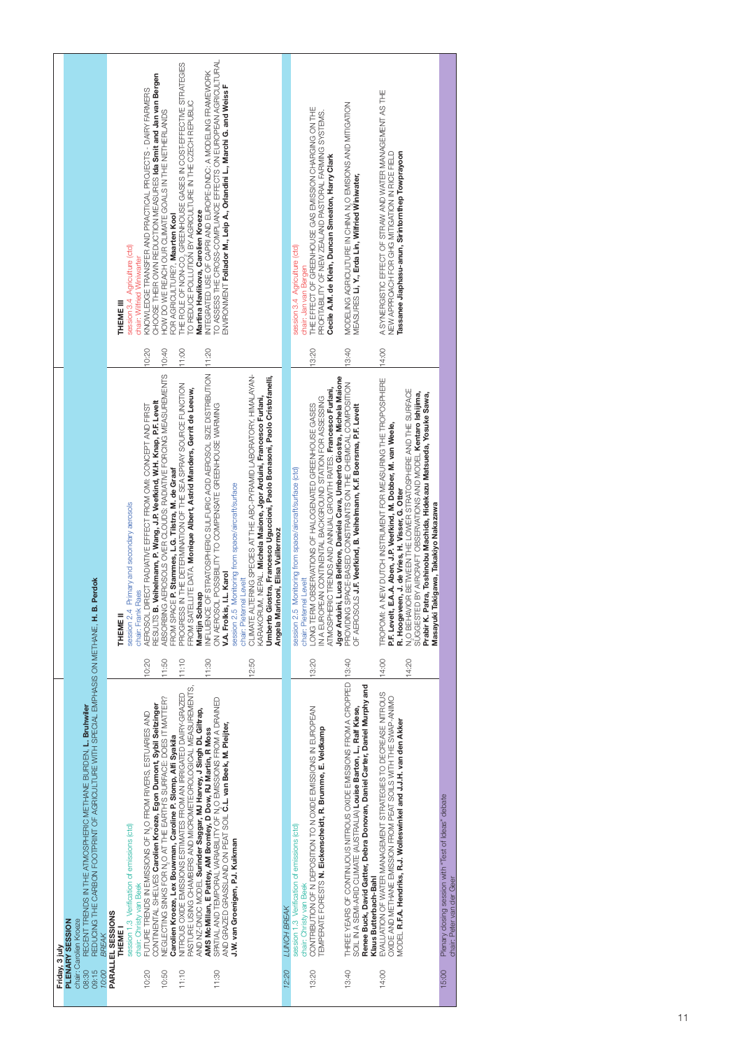|                |                                                                                                                                                                                                                                 | session 3.4 Agriculture (ctd)<br>THEME III                                 | CHOOSE THEIR OWN REDUCTION MEASURES Ida Smit and Jan van Bergen<br>KNOWLEDGE TRANSFER AND PRACTICAL PROJECTS - DAIRY FARMERS<br>chair: Wilfried Winiwarter                                      | THE ROLE OF NON-CO, GREENHOUSE GASES IN COST-EFFECTIVE STRATEGIES<br>TO REDUCE POLLUTION BY AGRICULTURE IN THE CZECH REPUBLIC<br>HOW DO WE REACH OUR CLIMATE GOALS IN THE NETHERLANDS<br>FOR AGRICULTURE?, Maarten Kool<br>11:00                                                        | TO ASSESS THE CROSS-COMPLIANCE EFFECTS ON EUROPEAN AGRICULTURAL<br>NTEGRATED USE OF CAPRI AND EUROPE-DNDC: A MODELING FRAMEWORK<br>ENVIRONMENT Follador M., Leip A., Orlandini L., Marchi G. and Weiss F<br>Martina Havlikova, Carolien Kroeze                                                                                                                                                                                                                                                                    |                                   | session 3.4 Agriculture (ctd)<br>chair: Jan van Bergen                              | THE EFFECT OF GREENHOUSE GAS EMISSION CHARGING ON THE<br>PROFITABILITY OF NEW ZEALAND PASTORAL FARMING SYSTEMS.<br>Cecile A.M. de Klein, Duncan Smeaton, Harry Clark<br>13:20                                                                                                 | MODELING AGRICULTURE IN CHINA N,O EMISIONS AND MITIGATION<br>VEASURES Li, Y., Erda Lin, Wilfried Winiwater,<br>13:40                                                                                                                                               | A SYNERGISTIC EFFECT OF STRAW AND WATER MANAGEMENT AS THE<br>Tassanee Jiaphasu-anun, Sirintornthep Towprayoon<br>NEW APPROACH FOR GHG MITIGATION IN RICE FIELD                                                                                                                                                                                                                                                                                                          |                                                                                           |
|----------------|---------------------------------------------------------------------------------------------------------------------------------------------------------------------------------------------------------------------------------|----------------------------------------------------------------------------|-------------------------------------------------------------------------------------------------------------------------------------------------------------------------------------------------|-----------------------------------------------------------------------------------------------------------------------------------------------------------------------------------------------------------------------------------------------------------------------------------------|-------------------------------------------------------------------------------------------------------------------------------------------------------------------------------------------------------------------------------------------------------------------------------------------------------------------------------------------------------------------------------------------------------------------------------------------------------------------------------------------------------------------|-----------------------------------|-------------------------------------------------------------------------------------|-------------------------------------------------------------------------------------------------------------------------------------------------------------------------------------------------------------------------------------------------------------------------------|--------------------------------------------------------------------------------------------------------------------------------------------------------------------------------------------------------------------------------------------------------------------|-------------------------------------------------------------------------------------------------------------------------------------------------------------------------------------------------------------------------------------------------------------------------------------------------------------------------------------------------------------------------------------------------------------------------------------------------------------------------|-------------------------------------------------------------------------------------------|
|                | <b>B.</b> Perdok                                                                                                                                                                                                                | session 2.4 Primary and secondary aerosols<br>THEME1                       | 10:20<br>B. Veihelmann, P. Wang, J.P. Veefkind, W.H. Knap, P.F. Levelt<br>DIRECT RADIATIVE EFFECT FROM OMI: CONCEPT AND FIRST<br>chair: Frank Raes<br><b>AEROSOL</b><br><b>RESULTS</b><br>10:20 | 10:40<br>ABSORBING AEROSOLS OVER CLOUDS: RADIATIVE FORCING MEASUREMENTS<br>PROGRESS IN THE DETERMINATION OF THE SEA SPRAY SOURCE FUNCTION<br>FROM SATELLITE DATA. Monique Albert, Astrid Manders, Gerrit de Leeuw,<br>FROM SPACE P. Stammes, L.G. Tistra, M. de Graaf<br>11:10<br>11:50 | 11:20<br>INFLUENCE OF STRATOSPHERIC SULFURIC ACID AEROSOL SIZE DISTRIBUTION<br>CLIMATE ALTERING SPECIES AT THE ABC-PYRAMID LABORATORY, HIMALAYAN-<br>Umberto Giostra, Francesco Uguccioni, Paolo Bonasoni, Paolo Cristofanelli,<br>KARAKORUM, NEPAL. Michela Maione, Jgor Arduini, Francesco Furlani,<br>ON AEROSOL POSSIBILITY TO COMPENSATE GREENHOUSE WARMING<br>session 2.5 Monitoring from space/aircraft/surface<br>V.A. Frolkis, I.L. Karol<br>chair: Pieternel Levelt<br>Martijn Schaap<br>11:30<br>12:50 | Angela Marinoni, Elisa Vuillermoz | session 2.5 Monitoring from space/aircraft/surface (ctd)<br>chair: Pieternel Levelt | Jgor Arduini, Luca Belfiore, Daniela Cava, Umberto Giostra, Michela Maione<br>ATMOSPHERIC TRENDS AND ANNUAL GROWTH RATES. Francesco Furlani,<br>IN A EUROPEAN CONTINENTAL BACKGROUND STATION FOR ASSESSING<br>LONG TERM OBSERVATIONS OF HALOGENATED GREENHOUSE GASES<br>13:20 | PROVIDING SPACE-BASED CONSTRAINTS ON THE CHEMICAL COMPOSITION<br>OF AEROSOLS J.F. Veefkind, B. Veihelmann, K.F. Boersma, P.F. Levelt                                                                                                                               | 14:00<br>TROPOMI: A NEW DUTCH INSTRUMENT FOR MEASURING THE TROPOSPHERE<br>N,O BEHAVIOR BETWEEN THE LOWER STRATOSPHERE AND THE SURFACE<br>SÜGGESTED BY AIRCRAFT OBSERVATIONS AND MODEL Kentaro Ishijima,<br>Patra, Toshinobu Machida, Hidekazu Matsueda, Yosuke Sawa,<br>P.F. Levelt, E.A.A. Aben, J.P. Veefkind, M. Dobber, M. van Weele,<br>R. Hoogeveen, J. de Vries, H. Visser, G. Otter<br>i Takigawa, Takakiyo Nakazawa<br>Masayuki<br>Prabir K.<br>14:00<br>14:20 |                                                                                           |
| Friday, 3 july | REDUCING THE CARBON FOOTPRIVITURE WITH SPECIAL EMPHASIS ON METHANE, H.<br>RECENT TRENDS IN THE ATMOSPHERIC METHANE BURDEN, L. Bruhwiler<br>chair: Carolien Kroeze<br>PLENARY SESSION<br><b>BREAK</b><br>08:30<br>09:15<br>10:00 | session 1.3 Verification of emissions (ctd)<br>PARALLEL SESSIONS<br>THEME! | CONTINENTAL SHELVES Carolien Kroeze, Egon Dumont, Sybil Seitzinger<br>FUTURE TRENDS IN EMISSIONS OF N,O FROM RIVERS, ESTUARIES AND<br>chair: Christy van Beek<br>10:20                          | PASTURE USING CHAMBERS AND MICROMETEOROLOGICAL MEASUREMENTS,<br>NITROUS OXIDE EMISSIONS ESTIMATES FROM AN IRRIGATED DAIRY-GRAZED<br>NEGLECTING SINKS FOR N,O AT THE EARTH'S SURFACE: DOES IT MATTER?<br>Carolien Kroeze, Lex Bouwman, Caroline P. Slomp, Alfi Syakila<br>11:10<br>10:50 | SPATIAL AND TEMPORAL VARIABILITY OF N,O EMISSIONS FROM A DRAINED<br>AND NZ-DNDC MODEL Surinder Saggar, MJ Harvey, J Singh DL Giltrap,<br>AND GRAZED GRASSLAND ON PEAT SOIL C.L. van Beek, M. Pleijter,<br>AMS McMillan, E Pattey, AM Bromley, D Dow, RJ Martin, R Moss<br>J.W. van Groenigen, P.J. Kuikman<br>11:30                                                                                                                                                                                               | LUNCH BREAK<br>12:20              | session 1.3 Verification of emissions (ctd)<br>chair: Christy van Beek              | CONTRIBUTION OF N DEPOSITION TO N OXIDE EMISSIONS IN EUROPEAN<br><b>FEMPERATE FORESTS N. Eickenscheidt, R. Brumme, E. Veldkamp</b><br>13:20                                                                                                                                   | 13:40<br>IHREE YEARS OF CONTINUOUS NITROUS OXIDE EMISSIONS FROM A CROPPED<br>Renee Buck, David Gatter, Debra Donovan, Daniel Carter, Daniel Murphy and<br>SOIL IN A SEMI-ARID CLIMATE (AUSTRALIA) Louise Barton, L., Ralf Kiese,<br>Klaus Butterbach-Bahl<br>13:40 | EVALUATION OF WATER MANAGEMENT STRATEGIES TO DECREASE NITROUS<br>OXIDE AND METHANE EMISSION FROM PEAT SOILS WITH THE SWAP-ANIMO<br>MODEL R.F.A. Hendriks, R.J. Wolleswinkel and J.J.H. van den Akker<br>14:00                                                                                                                                                                                                                                                           | Plenary closing session with "Test of Ideas" debate<br>chair: Peter van der Geer<br>15:00 |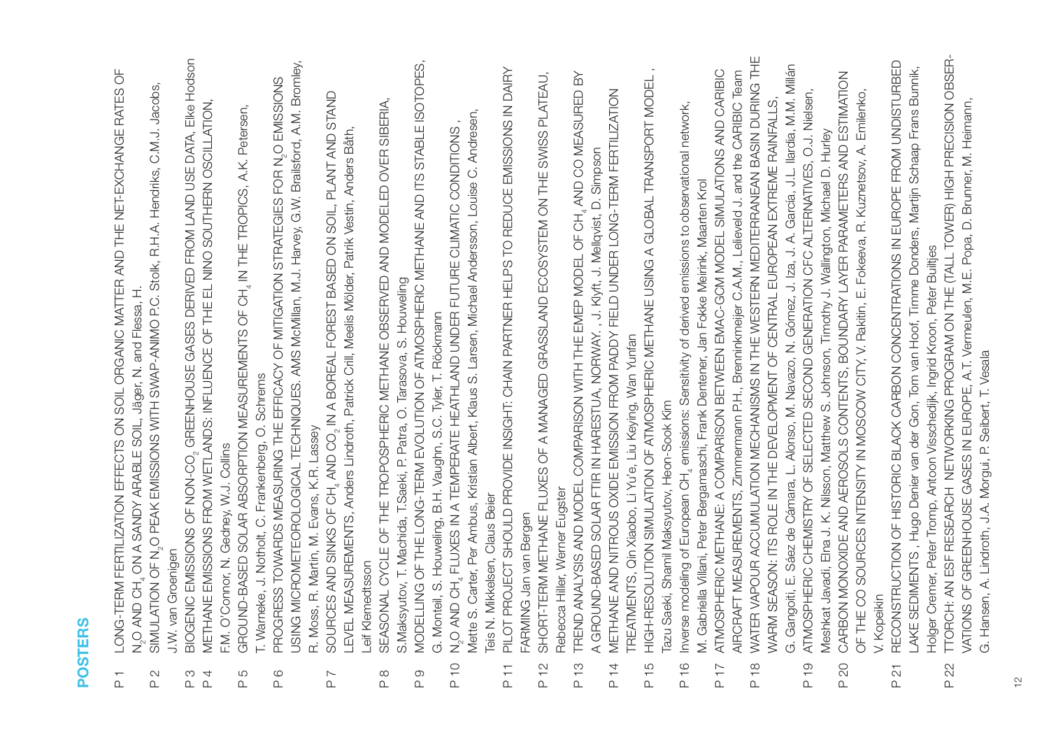- LONG-TERM FERTILIZATION EFFECTS ON SOIL ORGANIC MATTER AND THE NET-EXCHANGE RATES OF LONG-TERM FERTILIZATION EFFECTS ON SOIL ORGANIC MATTER AND THE NET-EXCHANGE RATES OF N,O AND CH, ON A SANDY ARABLE SOIL, Jäger, N. and Flessa, H. ON A SANDY ARABLE SOIL, Jäger, N. and Flessa, H.  $\overline{P}$ 
	- P 2 SIMULATION OF N O PEAK EMISSIONS WITH SWAP-ANIMO P.C. Stolk, R.H.A. Hendriks, C.M.J. Jacobs, SIMULATION OF N<sub>2</sub>O PEAK EMISSIONS WITH SWAP-ANIMO P.C. Stolk, R.H.A. Hendriks, C.M.J. Jacobs, J.W. van Groenigen J.W. van Groenigen  $\overline{\mathcal{C}}$  $\alpha$
- 3IOGENIC EMISSIONS OF NON-CO<sub>2</sub> GREENHOUSE GASES DERIVED FROM LAND USE DATA, EIke Hodson GREENHOUSE GASES DERIVED FROM LAND USE DATA, Elke Hodson P 4 METHANE EMISSIONS FROM WETLANDS: INFLUENCE OF THE EL NINO SOUTHERN OSCILLATION, METHANE EMISSIONS FROM WETLANDS: INFLUENCE OF THE EL NINO SOUTHERN OSCILLATION, <sup>CO-</sup>NON yO SNOSSIM OIN3OOI のd  $\overline{4}$  $\infty$  $\Delta$ 
	- IN THE TROPICS, A.K. Petersen, GROUND-BASED SOLAR ABSORPTION MEASUREMENTS OF CH. IN THE TROPICS, A.K. Petersen, P 5 GROUND-BASED SOLAR ABSORPTION GENERAL ABSORPTION CONTINUES I. Warneke, J. Notholt, C. Frankenberg, O. Schrems T. Warneke, J. Notholt, C. Frankenberg, O. Schrems F.M. O'Connor, N. Gedney, W.J. Collins F.M. O'Connor, N. Gedney, W.J. Collins  $\overline{5}$  $\overline{a}$
- USING MICROMETEOROLOGICAL TECHNIQUES. AMS McMillan, M.J. Harvey, G.W. Brailsford, A.M. Bromley, PROGRESS TOWARDS MEASURING THE EFFICACY OF MITIGATION STRATEGIES FOR N<sub>2</sub>O EMISSIONS<br>USING MICROMETEOROLOGICAL TECHNIQUES. AMS MoMillan, M.J. Harvey, G.W. Brailsford, A.M. Bromley, P 6 PROGRESS TOWARDS MEASURING THE EFFICACY OF MITIGATION STRATEGIES FOR N O EMISSIONS R. Moss, R. Martin, M. Evans, K.R. Lassey R. Moss, R. Martin, M. Evans, K.R. Lassey  $\frac{6}{1}$ 
	- IN A BOREAL FOREST BASED ON SOIL, PLANT AND STAND SOURCES AND SINKS OF CH<sub>4</sub> AND CO<sub>2</sub> IN A BOREAL FOREST BASED ON SOIL, PLANT AND STAND<br>LEVEL MEASUREMENTS, Anders Lindroth, Patrick Crill, Meelis Mölder, Patrik Vestin, Anders Båth, LEVEL MEASUREMENTS, Anders Lindroth, Patrick Crill, Meelis Mölder, Patrik Vestin, Anders Båth, P 7 SOURCES AND SINGLES OF CHAHOLOR AND SINGLE Leif Klemedtsson Leif Klemedtsson  $\overline{\phantom{0}}$  $\frac{1}{2}$ 
		- P 8 SEASONAL CYCLE OF THE TROPOSPHERIC METHANE OBSERVED AND MODELED OVER SIBERIA, SEASONAL CYCLE OF THE TROPOSPHERIC METHANE OBSERVED AND MODELED OVER SIBERIA, S.Maksyutov, T. Machida, T. Saeki, P. Patra, O. Tarasova, S. Houweling S.Maksyutov, T. Machida, T.Saeki, P. Patra, O. Tarasova, S. Houweling  $\frac{\infty}{2}$
- P 9 MODELLING OF THE LONG-TERM EVOLUTION OF ATMOSPHERIC METHANE AND ITS STABLE ISOTOPES, MODELLING OF THE LONG-TERM EVOLUTION OF ATMOSPHERIC METHANE AND ITS STABLE ISOTOPES, G. Monteil, S. Houweling, B.H. Vaughn, S.C. Tyler, T. Röckmann G. Monteil, S. Houweling, B.H. Vaughn, S.C. Tyler, T. Röckmann  $\overline{P}$ 
	- Mette S. Carter, Per Ambus, Kristian Albert, Klaus S. Larsen, Michael Andersson, Louise C. Andresen, Mette S. Carter, Per Ambus, Kristian Albert, Klaus S. Larsen, Michael Andersson, Louise C. Andresen, FLUXES IN A TEMPERATE HEATHLAND UNDER FUTURE CLIMATIC CONDITIONS , N,O AND CH, FLUXES IN A TEMPERATE HEATHLAND UNDER FUTURE CLIMATIC CONDITIONS, Teis N. Mikkelsen, Claus Beier Teis N. Mikkelsen, Claus Beier P 10 N O AND CH 2 4  $\frac{1}{2}$
- P 11 PILOT PROJECT SHOULD PROVIDE INSIGHT: CHAIN PARTNER HELPS TO REDUCE EMISSIONS IN DAIRY PILOT PROJECT SHOULD PROVIDE INSIGHT: CHAIN PARTNER HELPS TO REDUCE EMISSIONS IN DAIRY FARMING Jan van Bergen FARMING Jan van Bergen  $\overline{P}$  11
	- P 12 SHORT-TERM METHANE FLUXES OF A MANAGED GRASSLAND ECOSYSTEM ON THE SWISS PLATEAU, SHORT-TERM METHANE FLUXES OF A MANAGED GRASSLAND ECOSYSTEM ON THE SWISS PLATEAU, Rebecca Hiller, Werner Eugster Rebecca Hiller, Werner Eugster  $P$  12
- AND CO MEASURED BY TREND ANALYSIS AND MODEL COMPARISON WITH THE EMEP MODEL OF CH. 4ND CO MEASURED BY A GROUND-BASED SOLAR FTIR IN HARESTUA, NORWAY., J. Klyft, J. Mellqvist, D. Simpson A GROUND-BASED SOLAR FTIR IN HARESTUA, NORWAY. , J. Klyft, J. Mellqvist, D. Simpson P 13 TREND ANALYSIS AND MODEL COMPARISON WITH THE EMPLOYMENT WITH THE FOLLOW AND COMPARISON WITH THE THE FOLLOW AND CHA P 13
	- P 14 METHANE AND NITROUS OXIDE EMISSION FROM PADDY FIELD UNDER LONG-TERM FERTILIZATION METHANE AND NITROUS OXIDE EMISSION FROM PADDY FIELD UNDER LONG-TERM FERTILIZATION FREATMENTS, Qin Xiaobo, Li Yu'e, Liu Keying, Wan Yunfan TREATMENTS, Qin Xiaobo, Li Yu'e, Liu Keying, Wan Yunfan P 14
- P 15 HIGH-RESOLUTION SIMULATION OF ATMOSPHERIC METHANE USING A GLOBAL TRANSPORT MODEL , HIGH-RESOLUTION SIMULATION OF ATMOSPHERIC METHANE USING A GLOBAL TRANSPORT MODEL, azu Saeki, Shamil Maksyutov, Heon-Sook Kim Tazu Saeki, Shamil Maksyutov, Heon-Sook Kim P 15
	- emissions: Sensitivity of derived emissions to observational network, Inverse modeling of European CH<sub>4</sub> emissions: Sensitivity of derived emissions to observational network, M. Gabriella Villani, Peter Bergamaschi, Frank Dentener, Jan Fokke Meirink, Maarten Krol M. Gabriella Villani, Peter Bergamaschi, Frank Dentener, Jan Fokke Meirink, Maarten Krol P 16 Inverse modeling of European CH4 P 16
- P 17 ATMOSPHERIC METHANE: A COMPARISON BETWEEN EMAC-GCM MODEL SIMULATIONS AND CARIBIC ATMOSPHERIC METHANE: A COMPARISON BETWEEN EMAC-GCM MODEL SIMULATIONS AND CARIBIC AIRCRAFT MEASUREMENTS, Zimmermann P.H., Brenninkmeijer C.A.M., Lelieveld J. and the CARIBIC Team AIRCRAFT MEASUREMENTS, Zimmermann P.H., Brenninkmeijer C.A.M., Lelieveld J. and the CARIBIC Team  $-17$
- WATER VAPOUR ACCUMULATION MECHANISMS IN THE WESTERN MEDITERRANEAN BASIN DURING THE P 18 WATER VAPOUR ACCUMULATION MECHANISMS IN THE WESTERN MEDITERRANEAN BASIN DURING THE G. Gangoiti, E. Sáez de Cámara, L. Alonso, M. Navazo, N. Gómez, J. Iza, J. A. García, J.L. Ilardia, M.M. Millán G. Gangoiti, E. Sáez de Cámara, L. Alonso, M. Navazo, N. Gómez, J. Iza, J. A. García, J.L. Ilardia, M.M. Millán WARM SEASON: ITS ROLE IN THE DEVELOPMENT OF CENTRAL EUROPEAN EXTREME RAINFALLS, WARM SEASON: ITS ROLE IN THE DEVELOPMENT OF CENTRAL EUROPEAN EXTREME RAINFALLS,  $\frac{8}{2}$ 
	- P 19 ATMOSPHERIC CHEMISTRY OF SELECTED SECOND GENERATION CFC ALTERNATIVES, O.J. Nielsen, ATMOSPHERIC CHEMISTRY OF SELECTED SECOND GENERATION CFC ALTERNATIVES, O.J. Nielsen, Meshkat Javadi, Elna J. K. Nilsson, Matthew S. Johnson, Timothy J. Wallington, Michael D. Hurley Meshkat Javadi, Elna J. K. Nilsson, Matthew S. Johnson, Timothy J. Wallington, Michael D. Hurley  $P$ 19
		- CARBON MONOXIDE AND AEROSOLS CONTENTS, BOUNDARY LAYER PARAMETERS AND ESTIMATION P 20 CARBON MONOXIDE AND AEROSOLS CONTENTS, BOUNDARY LAYER PARAMETERS AND ESTIMATION OF THE CO SOURCES INTENSITY IN MOSCOW CITY, V. Rakitin, E. Fokeeva, R. Kuznetsov, A. Emilenko, OF THE CO SOURCES INTENSITY IN MOSCOW CITY, V. Rakitin, E. Fokeeva, R. Kuznetsov, A. Emilenko, V. Kopeikin  $\overline{P}$  20
- P 21 RECONSTRUCTION OF HISTORIC BLACK CARBON CONCENTRATIONS IN EUROPE FROM UNDISTURBED RECONSTRUCTION OF HISTORIC BLACK CARBON CONCENTRATIONS IN EUROPE FROM UNDISTURBED LAKE SEDIMENTS , Hugo Denier van der Gon, Tom van Hoof, Timme Donders, Martijn Schaap Frans Bunnik, LAKE SEDIMENTS, Hugo Denier van der Gon, Tom van Hoof, Timme Donders, Martijn Schaap Frans Bunnik, Holger Cremer, Peter Tromp, Antoon Visschedijk, Ingrid Kroon, Peter Builtjes Holger Cremer, Peter Tromp, Antoon Visschedijk, Ingrid Kroon, Peter Builtjes  $\overline{\Omega}$  $\Delta$
- TTORCH: AN ESF RESEARCH NETWORKING PROGRAM ON THE (TALL TOWER) HIGH PRECISION OBSER-P 22 TTORCH: AN ESF RESEARCH NETWORKING PROGRAM ON THE (TALL TOWER) HIGH PRECISION OBSER-VATIONS OF GREENHOUSE GASES IN EUROPE, A.T. Vermeulen, M.E. Popa, D. Brunner, M. Heimann, VATIONS OF GREENHOUSE GASES IN EUROPE, A.T. Vermeulen, M.E. Popa, D. Brunner, M. Heimann, G. Hansen, A. Lindroth, J.A. Morgui, P. Seibert, T. Vesala G. Hansen, A. Lindroth, J.A. Morgui, P. Seibert, T. VesalaP<sub>22</sub>